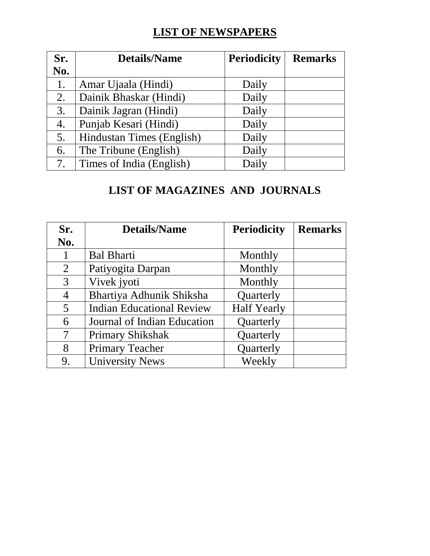## **LIST OF NEWSPAPERS**

| Sr. | <b>Details/Name</b>       | <b>Periodicity</b> | <b>Remarks</b> |
|-----|---------------------------|--------------------|----------------|
| No. |                           |                    |                |
| 1.  | Amar Ujaala (Hindi)       | Daily              |                |
| 2.  | Dainik Bhaskar (Hindi)    | Daily              |                |
| 3.  | Dainik Jagran (Hindi)     | Daily              |                |
| 4.  | Punjab Kesari (Hindi)     | Daily              |                |
| 5.  | Hindustan Times (English) | Daily              |                |
| 6.  | The Tribune (English)     | Daily              |                |
| 7.  | Times of India (English)  | Daily              |                |

## **LIST OF MAGAZINES AND JOURNALS**

| Sr.            | <b>Details/Name</b>              | <b>Periodicity</b> | <b>Remarks</b> |
|----------------|----------------------------------|--------------------|----------------|
| No.            |                                  |                    |                |
| $\mathbf{1}$   | <b>Bal Bharti</b>                | Monthly            |                |
| $\overline{2}$ | Patiyogita Darpan                | Monthly            |                |
| 3              | Vivek jyoti                      | Monthly            |                |
| $\overline{4}$ | Bhartiya Adhunik Shiksha         | Quarterly          |                |
| $5^{\circ}$    | <b>Indian Educational Review</b> | <b>Half Yearly</b> |                |
| 6              | Journal of Indian Education      | Quarterly          |                |
| 7              | <b>Primary Shikshak</b>          | Quarterly          |                |
| 8              | <b>Primary Teacher</b>           | Quarterly          |                |
| 9.             | <b>University News</b>           | Weekly             |                |